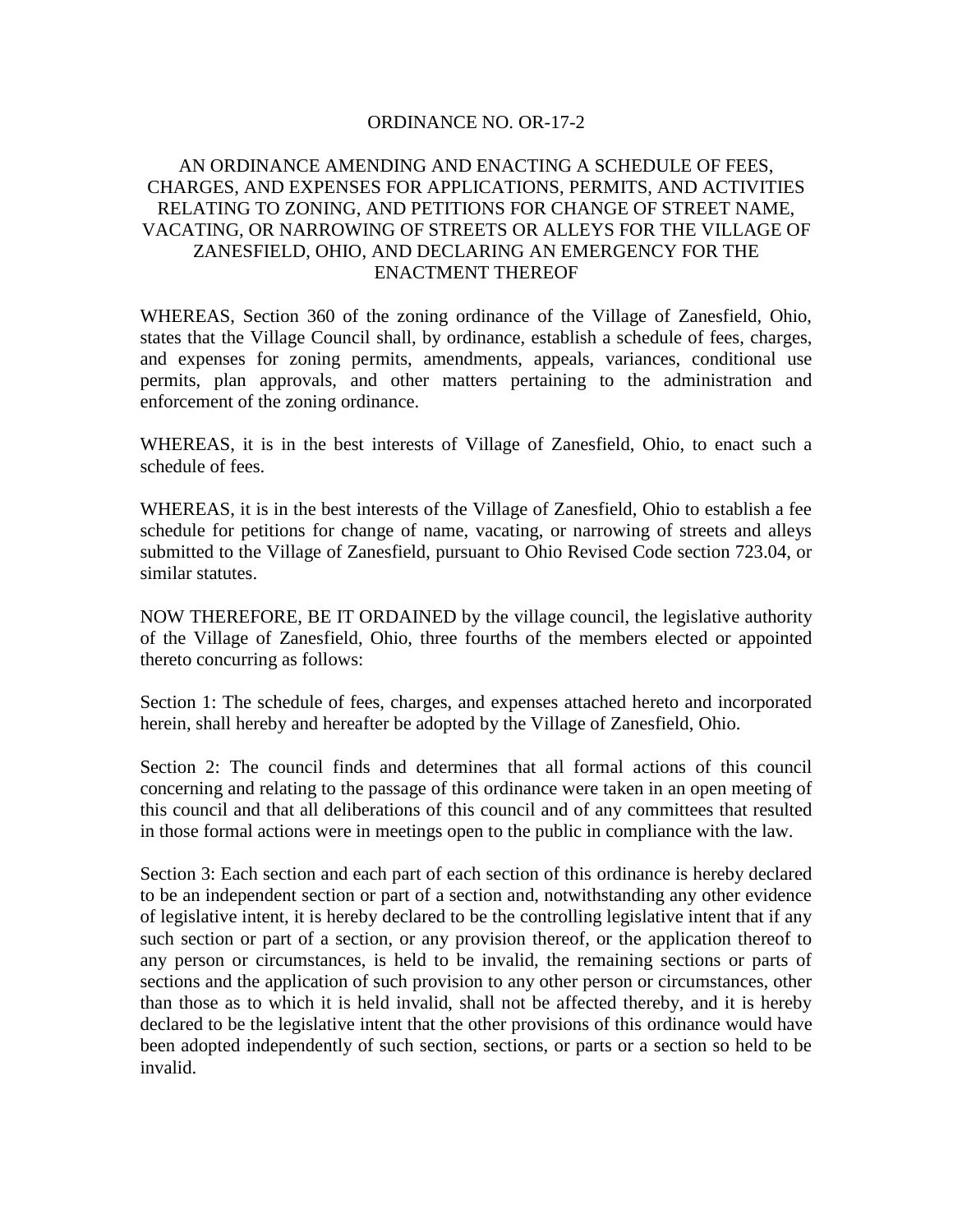## ORDINANCE NO. OR-17-2

## AN ORDINANCE AMENDING AND ENACTING A SCHEDULE OF FEES, CHARGES, AND EXPENSES FOR APPLICATIONS, PERMITS, AND ACTIVITIES RELATING TO ZONING, AND PETITIONS FOR CHANGE OF STREET NAME, VACATING, OR NARROWING OF STREETS OR ALLEYS FOR THE VILLAGE OF ZANESFIELD, OHIO, AND DECLARING AN EMERGENCY FOR THE ENACTMENT THEREOF

WHEREAS, Section 360 of the zoning ordinance of the Village of Zanesfield, Ohio, states that the Village Council shall, by ordinance, establish a schedule of fees, charges, and expenses for zoning permits, amendments, appeals, variances, conditional use permits, plan approvals, and other matters pertaining to the administration and enforcement of the zoning ordinance.

WHEREAS, it is in the best interests of Village of Zanesfield, Ohio, to enact such a schedule of fees.

WHEREAS, it is in the best interests of the Village of Zanesfield, Ohio to establish a fee schedule for petitions for change of name, vacating, or narrowing of streets and alleys submitted to the Village of Zanesfield, pursuant to Ohio Revised Code section 723.04, or similar statutes.

NOW THEREFORE, BE IT ORDAINED by the village council, the legislative authority of the Village of Zanesfield, Ohio, three fourths of the members elected or appointed thereto concurring as follows:

Section 1: The schedule of fees, charges, and expenses attached hereto and incorporated herein, shall hereby and hereafter be adopted by the Village of Zanesfield, Ohio.

Section 2: The council finds and determines that all formal actions of this council concerning and relating to the passage of this ordinance were taken in an open meeting of this council and that all deliberations of this council and of any committees that resulted in those formal actions were in meetings open to the public in compliance with the law.

Section 3: Each section and each part of each section of this ordinance is hereby declared to be an independent section or part of a section and, notwithstanding any other evidence of legislative intent, it is hereby declared to be the controlling legislative intent that if any such section or part of a section, or any provision thereof, or the application thereof to any person or circumstances, is held to be invalid, the remaining sections or parts of sections and the application of such provision to any other person or circumstances, other than those as to which it is held invalid, shall not be affected thereby, and it is hereby declared to be the legislative intent that the other provisions of this ordinance would have been adopted independently of such section, sections, or parts or a section so held to be invalid.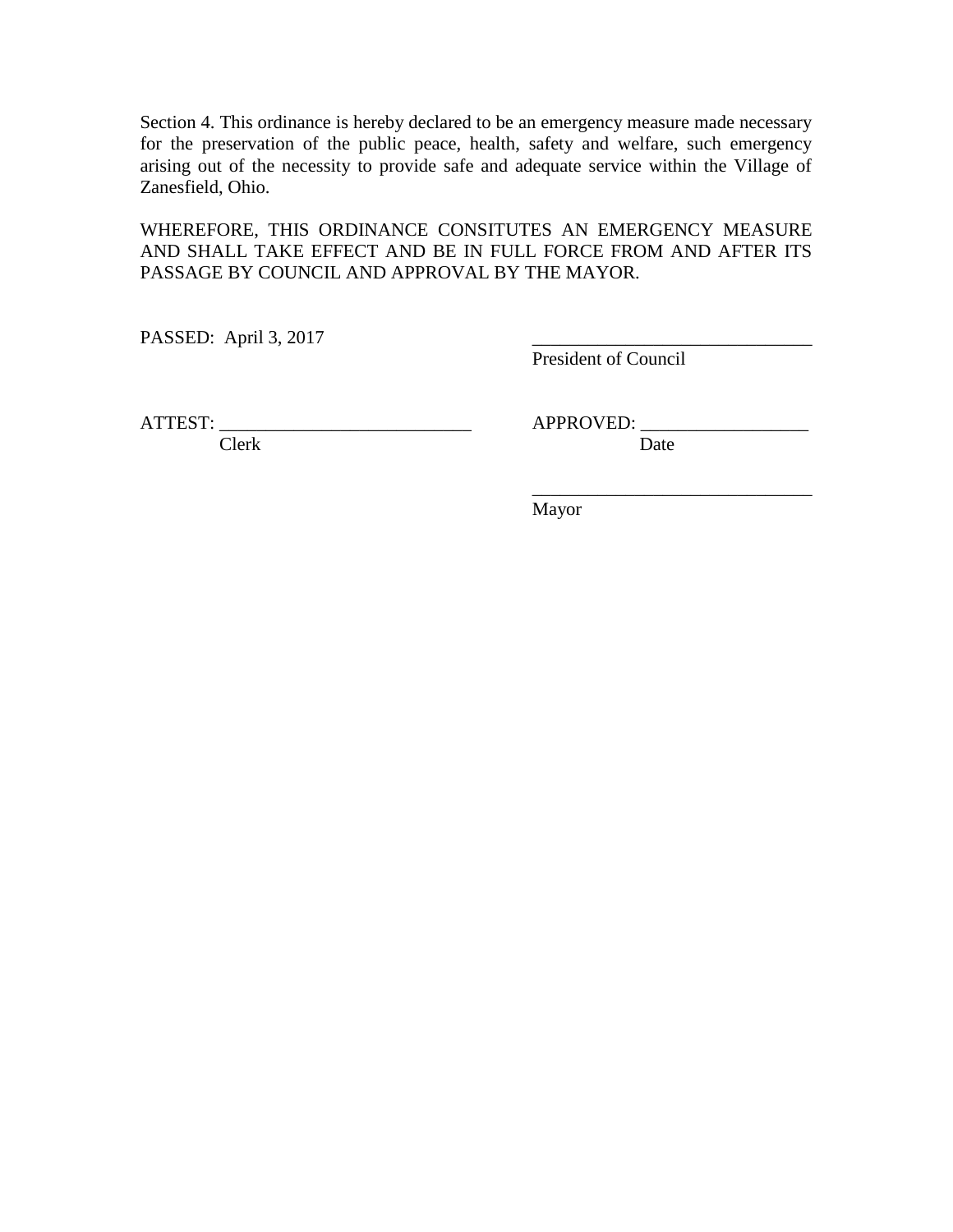Section 4. This ordinance is hereby declared to be an emergency measure made necessary for the preservation of the public peace, health, safety and welfare, such emergency arising out of the necessity to provide safe and adequate service within the Village of Zanesfield, Ohio.

WHEREFORE, THIS ORDINANCE CONSITUTES AN EMERGENCY MEASURE AND SHALL TAKE EFFECT AND BE IN FULL FORCE FROM AND AFTER ITS PASSAGE BY COUNCIL AND APPROVAL BY THE MAYOR.

PASSED: April 3, 2017

President of Council

ATTEST: APPROVED:

Clerk Date

\_\_\_\_\_\_\_\_\_\_\_\_\_\_\_\_\_\_\_\_\_\_\_\_\_\_\_\_\_\_

Mayor